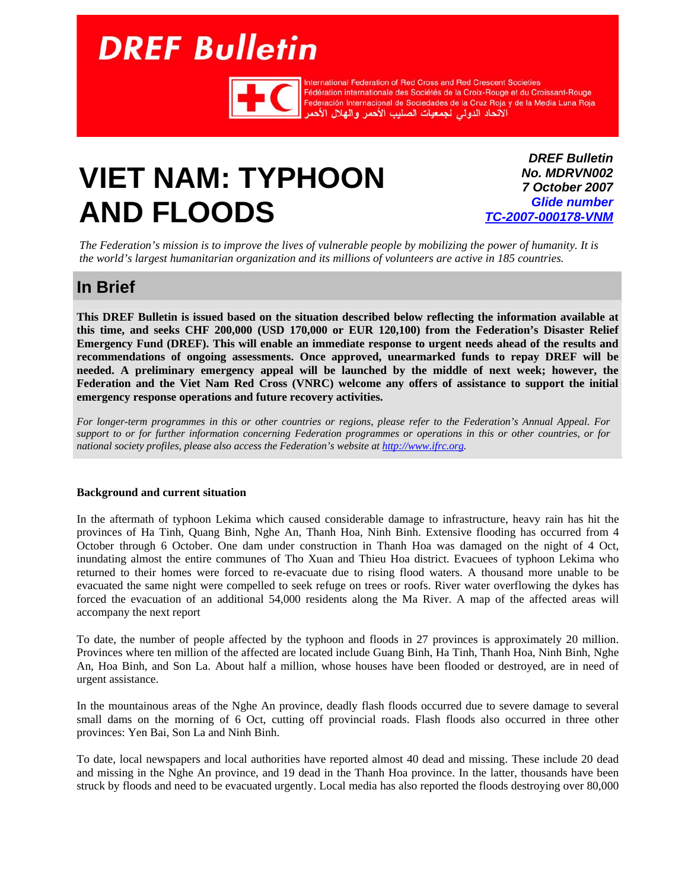# <span id="page-0-0"></span>**DREF Bulletin**



International Federation of Red Cross and Red Crescent Societies Fédération internationale des Sociétés de la Croix-Rouge et du Croissant-Rouge<br>Fédération internationale des Sociétés de la Croix-Rouge et du Croissant-Rouge<br>Federación Internacional de Sociedades de la Cruz Roja y de la

## **VIET NAM: TYPHOON AND FLOODS**

*DREF Bulletin No. MDRVN002 7 October 2007 Glide number [TC-2007-000178-VNM](http://www.glidenumber.net/glide/public/search/details.jsp?glide=18016&record=1&last=1)*

*The Federation's mission is to improve the lives of vulnerable people by mobilizing the power of humanity. It is the world's largest humanitarian organization and its millions of volunteers are active in 185 countries.* 

## **In Brief**

**This DREF Bulletin is issued based on the situation described below reflecting the information available at this time, and seeks CHF 200,000 (USD 170,000 or EUR 120,100) from the Federation's Disaster Relief Emergency Fund (DREF). This will enable an immediate response to urgent needs ahead of the results and recommendations of ongoing assessments. Once approved, unearmarked funds to repay DREF will be needed. A preliminary emergency appeal will be launched by the middle of next week; however, the Federation and the Viet Nam Red Cross (VNRC) welcome any offers of assistance to support the initial emergency response operations and future recovery activities.** 

*For longer-term programmes in this or other countries or regions, please refer to the Federation's Annual Appeal. For support to or for further information concerning Federation programmes or operations in this or other countries, or for national society profiles, please also access the Federation's website at [http://www.ifrc.org.](http://www.ifrc.org)*

#### **Background and current situation**

In the aftermath of typhoon Lekima which caused considerable damage to infrastructure, heavy rain has hit the provinces of Ha Tinh, Quang Binh, Nghe An, Thanh Hoa, Ninh Binh. Extensive flooding has occurred from 4 October through 6 October. One dam under construction in Thanh Hoa was damaged on the night of 4 Oct, inundating almost the entire communes of Tho Xuan and Thieu Hoa district. Evacuees of typhoon Lekima who returned to their homes were forced to re-evacuate due to rising flood waters. A thousand more unable to be evacuated the same night were compelled to seek refuge on trees or roofs. River water overflowing the dykes has forced the evacuation of an additional 54,000 residents along the Ma River. A map of the affected areas will accompany the next report

To date, the number of people affected by the typhoon and floods in 27 provinces is approximately 20 million. Provinces where ten million of the affected are located include Guang Binh, Ha Tinh, Thanh Hoa, Ninh Binh, Nghe An, Hoa Binh, and Son La. About half a million, whose houses have been flooded or destroyed, are in need of urgent assistance.

In the mountainous areas of the Nghe An province, deadly flash floods occurred due to severe damage to several small dams on the morning of 6 Oct, cutting off provincial roads. Flash floods also occurred in three other provinces: Yen Bai, Son La and Ninh Binh.

To date, local newspapers and local authorities have reported almost 40 dead and missing. These include 20 dead and missing in the Nghe An province, and 19 dead in the Thanh Hoa province. In the latter, thousands have been struck by floods and need to be evacuated urgently. Local media has also reported the floods destroying over 80,000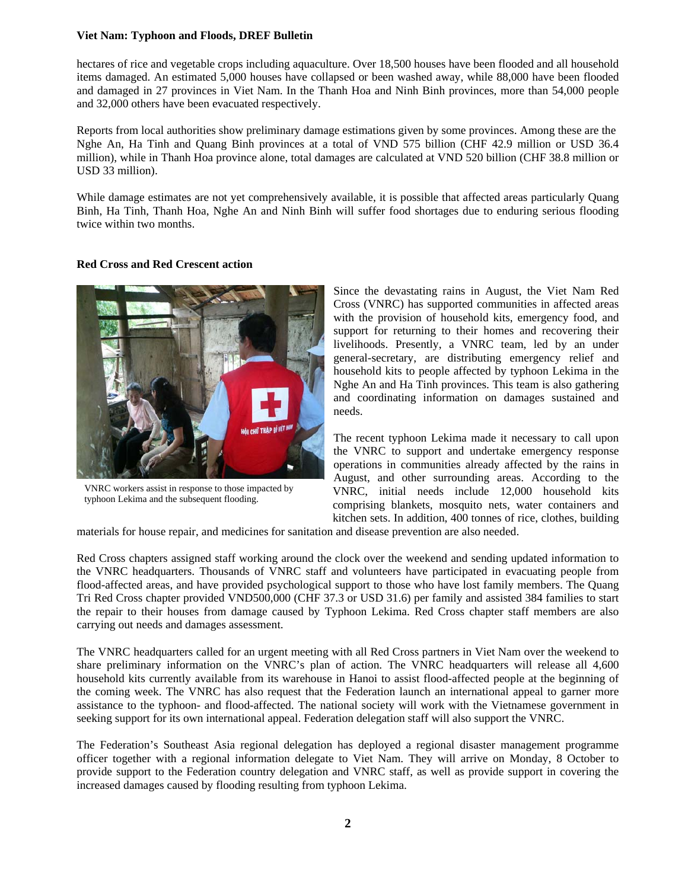#### **Viet Nam: Typhoon and Floods, DREF Bulletin**

hectares of rice and vegetable crops including aquaculture. Over 18,500 houses have been flooded and all household items damaged. An estimated 5,000 houses have collapsed or been washed away, while 88,000 have been flooded and damaged in 27 provinces in Viet Nam. In the Thanh Hoa and Ninh Binh provinces, more than 54,000 people and 32,000 others have been evacuated respectively.

Reports from local authorities show preliminary damage estimations given by some provinces. Among these are the Nghe An, Ha Tinh and Quang Binh provinces at a total of VND 575 billion (CHF 42.9 million or USD 36.4 million), while in Thanh Hoa province alone, total damages are calculated at VND 520 billion (CHF 38.8 million or USD 33 million).

While damage estimates are not yet comprehensively available, it is possible that affected areas particularly Quang Binh, Ha Tinh, Thanh Hoa, Nghe An and Ninh Binh will suffer food shortages due to enduring serious flooding twice within two months.

#### **Red Cross and Red Crescent action**



VNRC workers assist in response to those impacted by typhoon Lekima and the subsequent flooding.

Since the devastating rains in August, the Viet Nam Red Cross (VNRC) has supported communities in affected areas with the provision of household kits, emergency food, and support for returning to their homes and recovering their livelihoods. Presently, a VNRC team, led by an under general-secretary, are distributing emergency relief and household kits to people affected by typhoon Lekima in the Nghe An and Ha Tinh provinces. This team is also gathering and coordinating information on damages sustained and needs.

The recent typhoon Lekima made it necessary to call upon the VNRC to support and undertake emergency response operations in communities already affected by the rains in August, and other surrounding areas. According to the VNRC, initial needs include 12,000 household kits comprising blankets, mosquito nets, water containers and kitchen sets. In addition, 400 tonnes of rice, clothes, building

materials for house repair, and medicines for sanitation and disease prevention are also needed.

Red Cross chapters assigned staff working around the clock over the weekend and sending updated information to the VNRC headquarters. Thousands of VNRC staff and volunteers have participated in evacuating people from flood-affected areas, and have provided psychological support to those who have lost family members. The Quang Tri Red Cross chapter provided VND500,000 (CHF 37.3 or USD 31.6) per family and assisted 384 families to start the repair to their houses from damage caused by Typhoon Lekima. Red Cross chapter staff members are also carrying out needs and damages assessment.

The VNRC headquarters called for an urgent meeting with all Red Cross partners in Viet Nam over the weekend to share preliminary information on the VNRC's plan of action. The VNRC headquarters will release all 4,600 household kits currently available from its warehouse in Hanoi to assist flood-affected people at the beginning of the coming week. The VNRC has also request that the Federation launch an international appeal to garner more assistance to the typhoon- and flood-affected. The national society will work with the Vietnamese government in seeking support for its own international appeal. Federation delegation staff will also support the VNRC.

The Federation's Southeast Asia regional delegation has deployed a regional disaster management programme officer together with a regional information delegate to Viet Nam. They will arrive on Monday, 8 October to provide support to the Federation country delegation and VNRC staff, as well as provide support in covering the increased damages caused by flooding resulting from typhoon Lekima.